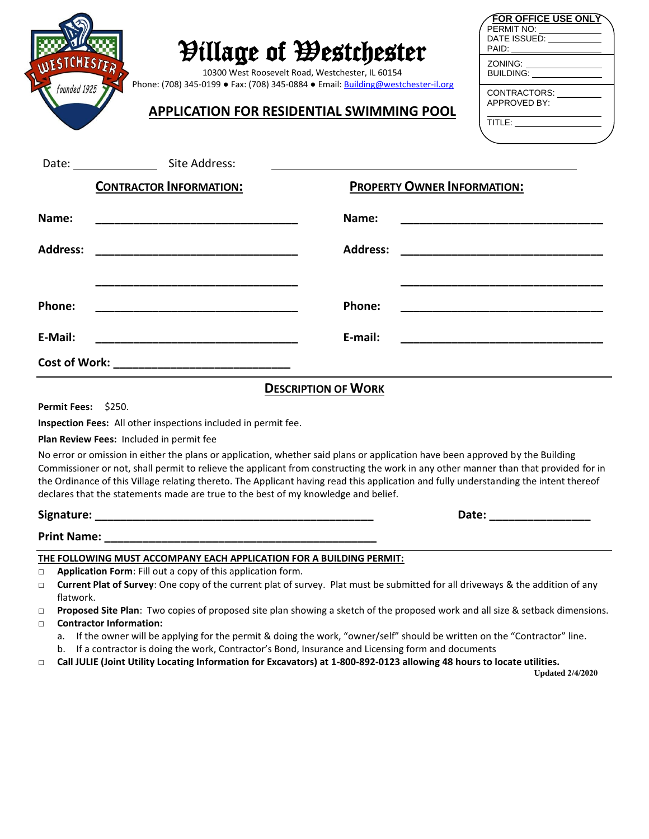| <b>FOR OFFICE USE ONLY</b><br><b><i>Pillage of Westchester</i></b><br>PAID:<br>ESTCHESI<br>10300 West Roosevelt Road, Westchester, IL 60154<br>Phone: (708) 345-0199 • Fax: (708) 345-0884 • Email: Building@westchester-il.org<br>founded 1925<br>CONTRACTORS: _________<br>APPROVED BY:<br><b>APPLICATION FOR RESIDENTIAL SWIMMING POOL</b><br>$\overbrace{\text{TITLE:}\underbrace{\hspace{2.8cm}}_{\text{Tr}}\underbrace{\hspace{2.8cm}}_{\text{Tr}}\underbrace{\hspace{2.8cm}}_{\text{Tr}}\underbrace{\hspace{2.8cm}}_{\text{Tr}}\underbrace{\hspace{2.8cm}}_{\text{Tr}}\underbrace{\hspace{2.8cm}}_{\text{Tr}}\underbrace{\hspace{2.8cm}}_{\text{Tr}}\underbrace{\hspace{2.8cm}}_{\text{Tr}}\underbrace{\hspace{2.8cm}}_{\text{Tr}}\underbrace{\hspace{2.8cm}}_{\text{Tr}}\underbrace{\hspace{2.8cm}}_{\text{Tr}}\underbrace{\hspace{2.8cm}}$ |                                                                                                                                                                                                                                                                              |
|-----------------------------------------------------------------------------------------------------------------------------------------------------------------------------------------------------------------------------------------------------------------------------------------------------------------------------------------------------------------------------------------------------------------------------------------------------------------------------------------------------------------------------------------------------------------------------------------------------------------------------------------------------------------------------------------------------------------------------------------------------------------------------------------------------------------------------------------------------|------------------------------------------------------------------------------------------------------------------------------------------------------------------------------------------------------------------------------------------------------------------------------|
| Date: Site Address:                                                                                                                                                                                                                                                                                                                                                                                                                                                                                                                                                                                                                                                                                                                                                                                                                                 |                                                                                                                                                                                                                                                                              |
| <b>CONTRACTOR INFORMATION:</b>                                                                                                                                                                                                                                                                                                                                                                                                                                                                                                                                                                                                                                                                                                                                                                                                                      | <b>PROPERTY OWNER INFORMATION:</b>                                                                                                                                                                                                                                           |
| Name:                                                                                                                                                                                                                                                                                                                                                                                                                                                                                                                                                                                                                                                                                                                                                                                                                                               | Name:                                                                                                                                                                                                                                                                        |
| <b>Address:</b>                                                                                                                                                                                                                                                                                                                                                                                                                                                                                                                                                                                                                                                                                                                                                                                                                                     | <b>Address:</b>                                                                                                                                                                                                                                                              |
| Phone:<br><u> 2002 - An de François Ann an Dùbhlachd an Dùbhlachd ann an Dùbhlachd ann an Dùbhlachd ann an Dùbhlachd ann an</u>                                                                                                                                                                                                                                                                                                                                                                                                                                                                                                                                                                                                                                                                                                                     | Phone:                                                                                                                                                                                                                                                                       |
| E-Mail:                                                                                                                                                                                                                                                                                                                                                                                                                                                                                                                                                                                                                                                                                                                                                                                                                                             | E-mail:                                                                                                                                                                                                                                                                      |
|                                                                                                                                                                                                                                                                                                                                                                                                                                                                                                                                                                                                                                                                                                                                                                                                                                                     |                                                                                                                                                                                                                                                                              |
|                                                                                                                                                                                                                                                                                                                                                                                                                                                                                                                                                                                                                                                                                                                                                                                                                                                     | <b>DESCRIPTION OF WORK</b>                                                                                                                                                                                                                                                   |
| <b>Permit Fees: \$250.</b>                                                                                                                                                                                                                                                                                                                                                                                                                                                                                                                                                                                                                                                                                                                                                                                                                          |                                                                                                                                                                                                                                                                              |
| Inspection Fees: All other inspections included in permit fee.<br>Plan Review Fees: Included in permit fee                                                                                                                                                                                                                                                                                                                                                                                                                                                                                                                                                                                                                                                                                                                                          |                                                                                                                                                                                                                                                                              |
|                                                                                                                                                                                                                                                                                                                                                                                                                                                                                                                                                                                                                                                                                                                                                                                                                                                     | No error or omission in either the plans or application, whether said plans or application have been approved by the Building                                                                                                                                                |
| declares that the statements made are true to the best of my knowledge and belief.                                                                                                                                                                                                                                                                                                                                                                                                                                                                                                                                                                                                                                                                                                                                                                  | Commissioner or not, shall permit to relieve the applicant from constructing the work in any other manner than that provided for in<br>the Ordinance of this Village relating thereto. The Applicant having read this application and fully understanding the intent thereof |
|                                                                                                                                                                                                                                                                                                                                                                                                                                                                                                                                                                                                                                                                                                                                                                                                                                                     | Date: ____________________                                                                                                                                                                                                                                                   |
|                                                                                                                                                                                                                                                                                                                                                                                                                                                                                                                                                                                                                                                                                                                                                                                                                                                     |                                                                                                                                                                                                                                                                              |
| THE FOLLOWING MUST ACCOMPANY EACH APPLICATION FOR A BUILDING PERMIT:                                                                                                                                                                                                                                                                                                                                                                                                                                                                                                                                                                                                                                                                                                                                                                                |                                                                                                                                                                                                                                                                              |
| Application Form: Fill out a copy of this application form.<br>$\Box$<br>$\Box$                                                                                                                                                                                                                                                                                                                                                                                                                                                                                                                                                                                                                                                                                                                                                                     | Current Plat of Survey: One copy of the current plat of survey. Plat must be submitted for all driveways & the addition of any                                                                                                                                               |
| flatwork.                                                                                                                                                                                                                                                                                                                                                                                                                                                                                                                                                                                                                                                                                                                                                                                                                                           |                                                                                                                                                                                                                                                                              |
| Proposed Site Plan: Two copies of proposed site plan showing a sketch of the proposed work and all size & setback dimensions.<br>$\Box$<br><b>Contractor Information:</b><br>$\Box$                                                                                                                                                                                                                                                                                                                                                                                                                                                                                                                                                                                                                                                                 |                                                                                                                                                                                                                                                                              |
| If the owner will be applying for the permit & doing the work, "owner/self" should be written on the "Contractor" line.<br>а.<br>b. If a contractor is doing the work, Contractor's Bond, Insurance and Licensing form and documents<br>Call JULIE (Joint Utility Locating Information for Excavators) at 1-800-892-0123 allowing 48 hours to locate utilities.<br>$\Box$<br><b>Updated 2/4/2020</b>                                                                                                                                                                                                                                                                                                                                                                                                                                                |                                                                                                                                                                                                                                                                              |